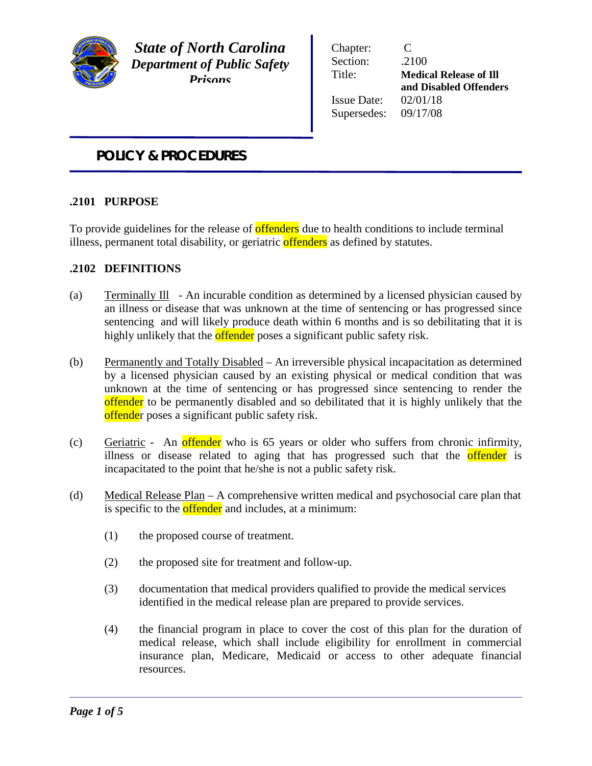

*State of North Carolina Department of Public Safety Prisons*

Chapter: C Section: .2100 Issue Date: 02/01/18 Supersedes: 09/17/08

Title: **Medical Release of Ill and Disabled Offenders**

# *POLICY & PROCEDURES*

## **.2101 PURPOSE**

To provide guidelines for the release of **offenders** due to health conditions to include terminal illness, permanent total disability, or geriatric offenders as defined by statutes.

## **.2102 DEFINITIONS**

- (a) Terminally Ill An incurable condition as determined by a licensed physician caused by an illness or disease that was unknown at the time of sentencing or has progressed since sentencing and will likely produce death within 6 months and is so debilitating that it is highly unlikely that the **offender** poses a significant public safety risk.
- (b) Permanently and Totally Disabled An irreversible physical incapacitation as determined by a licensed physician caused by an existing physical or medical condition that was unknown at the time of sentencing or has progressed since sentencing to render the offender to be permanently disabled and so debilitated that it is highly unlikely that the offender poses a significant public safety risk.
- (c) Geriatric An offender who is 65 years or older who suffers from chronic infirmity, illness or disease related to aging that has progressed such that the **offender** is incapacitated to the point that he/she is not a public safety risk.
- (d) Medical Release Plan A comprehensive written medical and psychosocial care plan that is specific to the **offender** and includes, at a minimum:
	- (1) the proposed course of treatment.
	- (2) the proposed site for treatment and follow-up.
	- (3) documentation that medical providers qualified to provide the medical services identified in the medical release plan are prepared to provide services.
	- (4) the financial program in place to cover the cost of this plan for the duration of medical release, which shall include eligibility for enrollment in commercial insurance plan, Medicare, Medicaid or access to other adequate financial resources.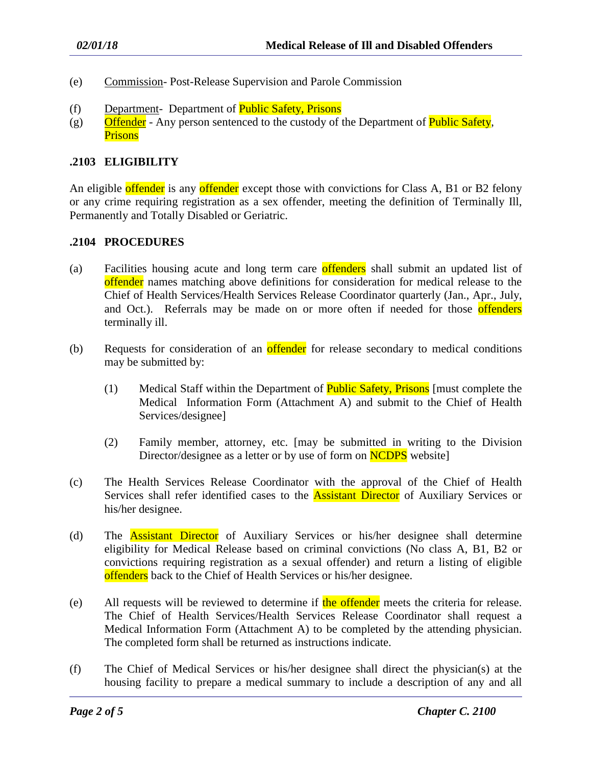- (e) Commission- Post-Release Supervision and Parole Commission
- (f) Department- Department of Public Safety, Prisons
- (g) Offender Any person sentenced to the custody of the Department of **Public Safety**, **Prisons**

#### **.2103 ELIGIBILITY**

An eligible offender is any offender except those with convictions for Class A, B1 or B2 felony or any crime requiring registration as a sex offender, meeting the definition of Terminally Ill, Permanently and Totally Disabled or Geriatric.

#### **.2104 PROCEDURES**

- (a) Facilities housing acute and long term care offenders shall submit an updated list of offender names matching above definitions for consideration for medical release to the Chief of Health Services/Health Services Release Coordinator quarterly (Jan., Apr., July, and Oct.). Referrals may be made on or more often if needed for those offenders terminally ill.
- (b) Requests for consideration of an **offender** for release secondary to medical conditions may be submitted by:
	- (1) Medical Staff within the Department of **Public Safety, Prisons** [must complete the Medical Information Form (Attachment A) and submit to the Chief of Health Services/designee]
	- (2) Family member, attorney, etc. [may be submitted in writing to the Division Director/designee as a letter or by use of form on **NCDPS** website]
- (c) The Health Services Release Coordinator with the approval of the Chief of Health Services shall refer identified cases to the **Assistant Director** of Auxiliary Services or his/her designee.
- (d) The Assistant Director of Auxiliary Services or his/her designee shall determine eligibility for Medical Release based on criminal convictions (No class A, B1, B2 or convictions requiring registration as a sexual offender) and return a listing of eligible offenders back to the Chief of Health Services or his/her designee.
- (e) All requests will be reviewed to determine if the offender meets the criteria for release. The Chief of Health Services/Health Services Release Coordinator shall request a Medical Information Form (Attachment A) to be completed by the attending physician. The completed form shall be returned as instructions indicate.
- (f) The Chief of Medical Services or his/her designee shall direct the physician(s) at the housing facility to prepare a medical summary to include a description of any and all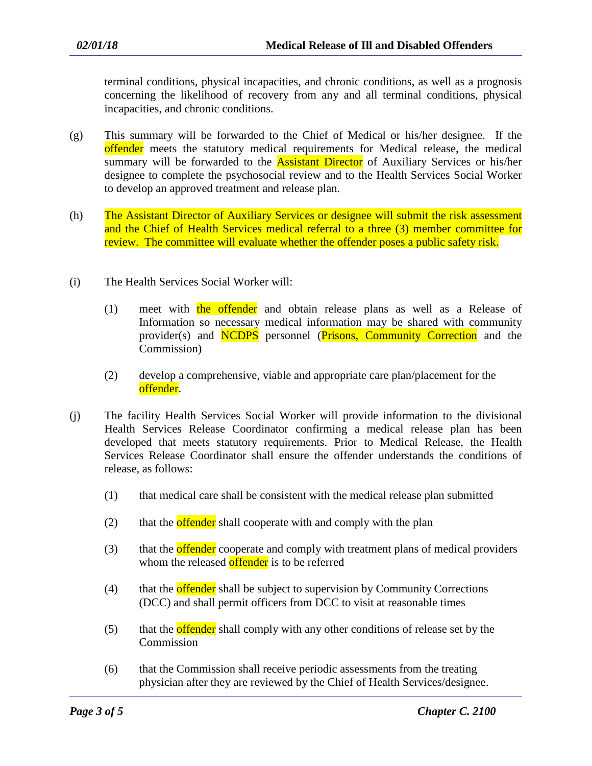terminal conditions, physical incapacities, and chronic conditions, as well as a prognosis concerning the likelihood of recovery from any and all terminal conditions, physical incapacities, and chronic conditions.

- (g) This summary will be forwarded to the Chief of Medical or his/her designee. If the offender meets the statutory medical requirements for Medical release, the medical summary will be forwarded to the **Assistant Director** of Auxiliary Services or his/her designee to complete the psychosocial review and to the Health Services Social Worker to develop an approved treatment and release plan.
- (h) The Assistant Director of Auxiliary Services or designee will submit the risk assessment and the Chief of Health Services medical referral to a three (3) member committee for review. The committee will evaluate whether the offender poses a public safety risk.
- (i) The Health Services Social Worker will:
	- (1) meet with the offender and obtain release plans as well as a Release of Information so necessary medical information may be shared with community provider(s) and NCDPS personnel (Prisons, Community Correction and the Commission)
	- (2) develop a comprehensive, viable and appropriate care plan/placement for the offender.
- (j) The facility Health Services Social Worker will provide information to the divisional Health Services Release Coordinator confirming a medical release plan has been developed that meets statutory requirements. Prior to Medical Release, the Health Services Release Coordinator shall ensure the offender understands the conditions of release, as follows:
	- (1) that medical care shall be consistent with the medical release plan submitted
	- $(2)$  that the **offender** shall cooperate with and comply with the plan
	- (3) that the **offender** cooperate and comply with treatment plans of medical providers whom the released offender is to be referred
	- (4) that the **offender** shall be subject to supervision by Community Corrections (DCC) and shall permit officers from DCC to visit at reasonable times
	- (5) that the **offender** shall comply with any other conditions of release set by the Commission
	- (6) that the Commission shall receive periodic assessments from the treating physician after they are reviewed by the Chief of Health Services/designee.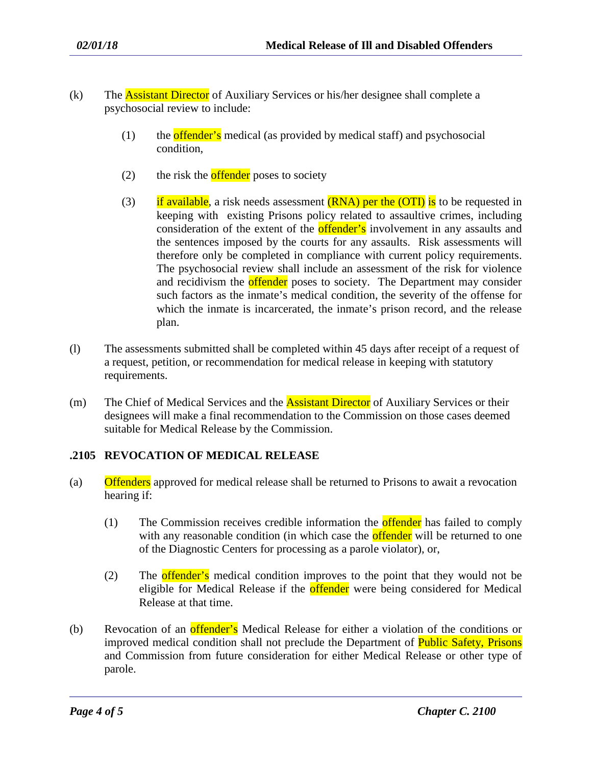- (k) The Assistant Director of Auxiliary Services or his/her designee shall complete a psychosocial review to include:
	- (1) the **offender's** medical (as provided by medical staff) and psychosocial condition,
	- (2) the risk the **offender** poses to society
	- (3) if available, a risk needs assessment  $(RNA)$  per the  $(OTI)$  is to be requested in keeping with existing Prisons policy related to assaultive crimes, including consideration of the extent of the **offender's** involvement in any assaults and the sentences imposed by the courts for any assaults. Risk assessments will therefore only be completed in compliance with current policy requirements. The psychosocial review shall include an assessment of the risk for violence and recidivism the **offender** poses to society. The Department may consider such factors as the inmate's medical condition, the severity of the offense for which the inmate is incarcerated, the inmate's prison record, and the release plan.
- (l) The assessments submitted shall be completed within 45 days after receipt of a request of a request, petition, or recommendation for medical release in keeping with statutory requirements.
- (m) The Chief of Medical Services and the **Assistant Director** of Auxiliary Services or their designees will make a final recommendation to the Commission on those cases deemed suitable for Medical Release by the Commission.

### **.2105 REVOCATION OF MEDICAL RELEASE**

- (a) Offenders approved for medical release shall be returned to Prisons to await a revocation hearing if:
	- (1) The Commission receives credible information the offender has failed to comply with any reasonable condition (in which case the **offender** will be returned to one of the Diagnostic Centers for processing as a parole violator), or,
	- (2) The offender's medical condition improves to the point that they would not be eligible for Medical Release if the **offender** were being considered for Medical Release at that time.
- (b) Revocation of an offender's Medical Release for either a violation of the conditions or improved medical condition shall not preclude the Department of Public Safety, Prisons and Commission from future consideration for either Medical Release or other type of parole.